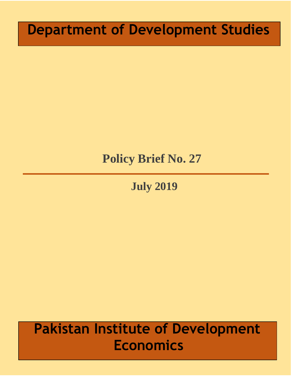# **Department of Development Studies**

## **Policy Brief No. 27**

**July 2019**

# **Pakistan Institute of Development Economics**